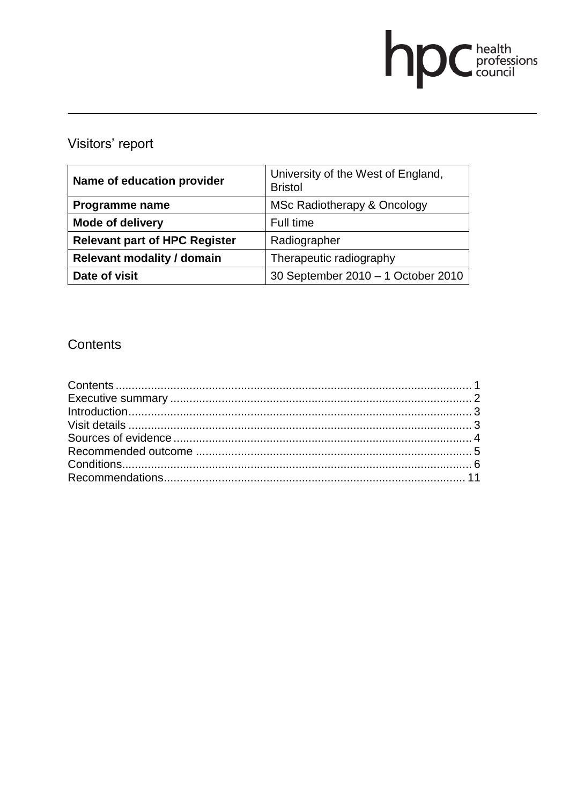# **DC** health<br>council

# Visitors' report

| Name of education provider           | University of the West of England,<br><b>Bristol</b> |
|--------------------------------------|------------------------------------------------------|
| Programme name                       | MSc Radiotherapy & Oncology                          |
| Mode of delivery                     | Full time                                            |
| <b>Relevant part of HPC Register</b> | Radiographer                                         |
| <b>Relevant modality / domain</b>    | Therapeutic radiography                              |
| Date of visit                        | 30 September 2010 - 1 October 2010                   |

# **Contents**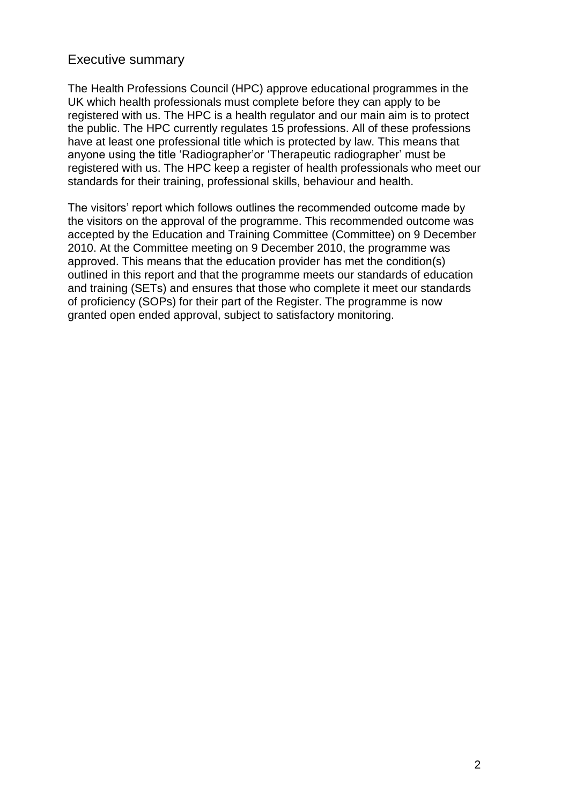### Executive summary

The Health Professions Council (HPC) approve educational programmes in the UK which health professionals must complete before they can apply to be registered with us. The HPC is a health regulator and our main aim is to protect the public. The HPC currently regulates 15 professions. All of these professions have at least one professional title which is protected by law. This means that anyone using the title 'Radiographer'or 'Therapeutic radiographer' must be registered with us. The HPC keep a register of health professionals who meet our standards for their training, professional skills, behaviour and health.

The visitors' report which follows outlines the recommended outcome made by the visitors on the approval of the programme. This recommended outcome was accepted by the Education and Training Committee (Committee) on 9 December 2010. At the Committee meeting on 9 December 2010, the programme was approved. This means that the education provider has met the condition(s) outlined in this report and that the programme meets our standards of education and training (SETs) and ensures that those who complete it meet our standards of proficiency (SOPs) for their part of the Register. The programme is now granted open ended approval, subject to satisfactory monitoring.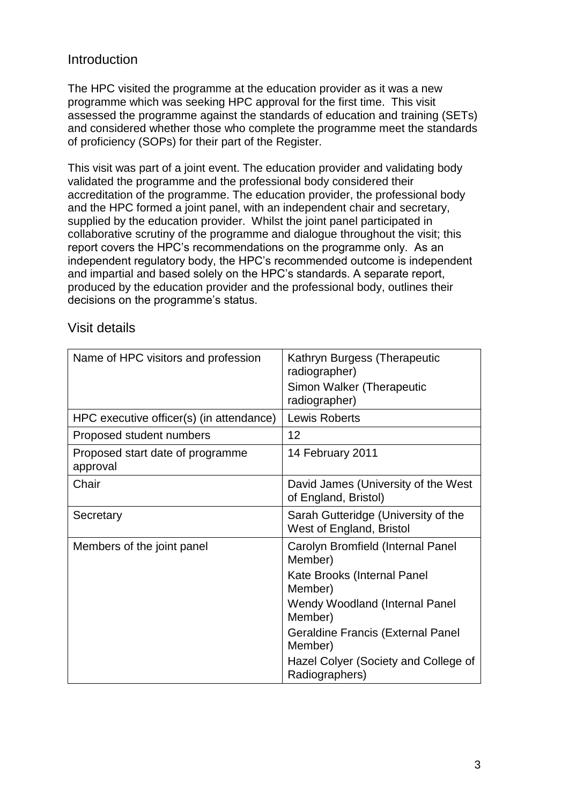# Introduction

The HPC visited the programme at the education provider as it was a new programme which was seeking HPC approval for the first time. This visit assessed the programme against the standards of education and training (SETs) and considered whether those who complete the programme meet the standards of proficiency (SOPs) for their part of the Register.

This visit was part of a joint event. The education provider and validating body validated the programme and the professional body considered their accreditation of the programme. The education provider, the professional body and the HPC formed a joint panel, with an independent chair and secretary, supplied by the education provider. Whilst the joint panel participated in collaborative scrutiny of the programme and dialogue throughout the visit; this report covers the HPC's recommendations on the programme only. As an independent regulatory body, the HPC's recommended outcome is independent and impartial and based solely on the HPC's standards. A separate report, produced by the education provider and the professional body, outlines their decisions on the programme's status.

| Name of HPC visitors and profession          | Kathryn Burgess (Therapeutic<br>radiographer)<br>Simon Walker (Therapeutic<br>radiographer)                                                                                                                                                          |
|----------------------------------------------|------------------------------------------------------------------------------------------------------------------------------------------------------------------------------------------------------------------------------------------------------|
| HPC executive officer(s) (in attendance)     | Lewis Roberts                                                                                                                                                                                                                                        |
| Proposed student numbers                     | 12                                                                                                                                                                                                                                                   |
| Proposed start date of programme<br>approval | 14 February 2011                                                                                                                                                                                                                                     |
| Chair                                        | David James (University of the West<br>of England, Bristol)                                                                                                                                                                                          |
| Secretary                                    | Sarah Gutteridge (University of the<br>West of England, Bristol                                                                                                                                                                                      |
| Members of the joint panel                   | Carolyn Bromfield (Internal Panel<br>Member)<br>Kate Brooks (Internal Panel<br>Member)<br>Wendy Woodland (Internal Panel<br>Member)<br><b>Geraldine Francis (External Panel</b><br>Member)<br>Hazel Colyer (Society and College of<br>Radiographers) |

#### Visit details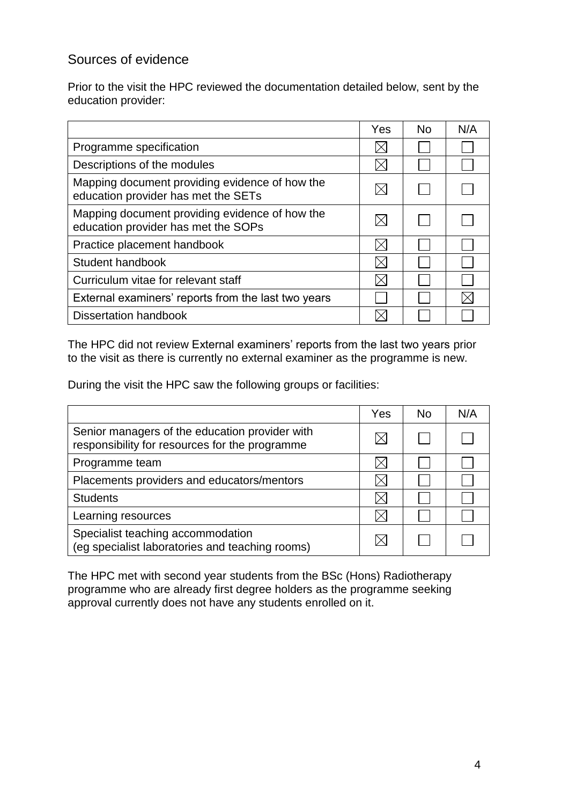# Sources of evidence

Prior to the visit the HPC reviewed the documentation detailed below, sent by the education provider:

|                                                                                       | Yes | <b>No</b> | N/A |
|---------------------------------------------------------------------------------------|-----|-----------|-----|
| Programme specification                                                               |     |           |     |
| Descriptions of the modules                                                           |     |           |     |
| Mapping document providing evidence of how the<br>education provider has met the SETs |     |           |     |
| Mapping document providing evidence of how the<br>education provider has met the SOPs |     |           |     |
| Practice placement handbook                                                           |     |           |     |
| Student handbook                                                                      |     |           |     |
| Curriculum vitae for relevant staff                                                   |     |           |     |
| External examiners' reports from the last two years                                   |     |           |     |
| <b>Dissertation handbook</b>                                                          |     |           |     |

The HPC did not review External examiners' reports from the last two years prior to the visit as there is currently no external examiner as the programme is new.

During the visit the HPC saw the following groups or facilities:

|                                                                                                  | Yes | <b>No</b> | N/A |
|--------------------------------------------------------------------------------------------------|-----|-----------|-----|
| Senior managers of the education provider with<br>responsibility for resources for the programme |     |           |     |
| Programme team                                                                                   |     |           |     |
| Placements providers and educators/mentors                                                       |     |           |     |
| <b>Students</b>                                                                                  |     |           |     |
| Learning resources                                                                               |     |           |     |
| Specialist teaching accommodation<br>(eg specialist laboratories and teaching rooms)             |     |           |     |

The HPC met with second year students from the BSc (Hons) Radiotherapy programme who are already first degree holders as the programme seeking approval currently does not have any students enrolled on it.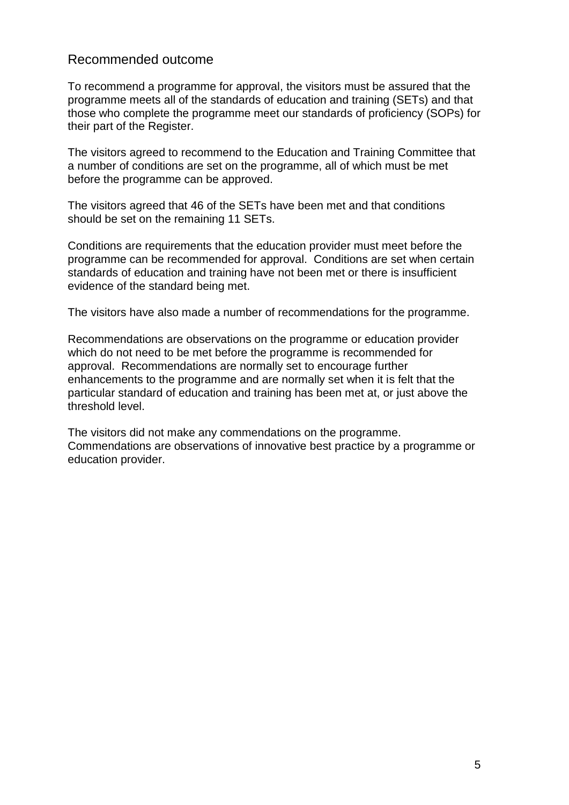## Recommended outcome

To recommend a programme for approval, the visitors must be assured that the programme meets all of the standards of education and training (SETs) and that those who complete the programme meet our standards of proficiency (SOPs) for their part of the Register.

The visitors agreed to recommend to the Education and Training Committee that a number of conditions are set on the programme, all of which must be met before the programme can be approved.

The visitors agreed that 46 of the SETs have been met and that conditions should be set on the remaining 11 SETs.

Conditions are requirements that the education provider must meet before the programme can be recommended for approval. Conditions are set when certain standards of education and training have not been met or there is insufficient evidence of the standard being met.

The visitors have also made a number of recommendations for the programme.

Recommendations are observations on the programme or education provider which do not need to be met before the programme is recommended for approval. Recommendations are normally set to encourage further enhancements to the programme and are normally set when it is felt that the particular standard of education and training has been met at, or just above the threshold level.

The visitors did not make any commendations on the programme. Commendations are observations of innovative best practice by a programme or education provider.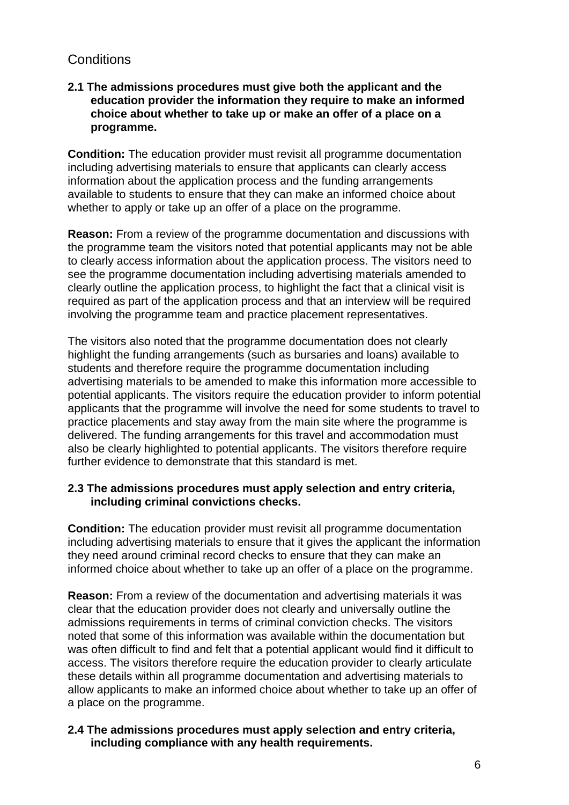# **Conditions**

#### **2.1 The admissions procedures must give both the applicant and the education provider the information they require to make an informed choice about whether to take up or make an offer of a place on a programme.**

**Condition:** The education provider must revisit all programme documentation including advertising materials to ensure that applicants can clearly access information about the application process and the funding arrangements available to students to ensure that they can make an informed choice about whether to apply or take up an offer of a place on the programme.

**Reason:** From a review of the programme documentation and discussions with the programme team the visitors noted that potential applicants may not be able to clearly access information about the application process. The visitors need to see the programme documentation including advertising materials amended to clearly outline the application process, to highlight the fact that a clinical visit is required as part of the application process and that an interview will be required involving the programme team and practice placement representatives.

The visitors also noted that the programme documentation does not clearly highlight the funding arrangements (such as bursaries and loans) available to students and therefore require the programme documentation including advertising materials to be amended to make this information more accessible to potential applicants. The visitors require the education provider to inform potential applicants that the programme will involve the need for some students to travel to practice placements and stay away from the main site where the programme is delivered. The funding arrangements for this travel and accommodation must also be clearly highlighted to potential applicants. The visitors therefore require further evidence to demonstrate that this standard is met.

#### **2.3 The admissions procedures must apply selection and entry criteria, including criminal convictions checks.**

**Condition:** The education provider must revisit all programme documentation including advertising materials to ensure that it gives the applicant the information they need around criminal record checks to ensure that they can make an informed choice about whether to take up an offer of a place on the programme.

**Reason:** From a review of the documentation and advertising materials it was clear that the education provider does not clearly and universally outline the admissions requirements in terms of criminal conviction checks. The visitors noted that some of this information was available within the documentation but was often difficult to find and felt that a potential applicant would find it difficult to access. The visitors therefore require the education provider to clearly articulate these details within all programme documentation and advertising materials to allow applicants to make an informed choice about whether to take up an offer of a place on the programme.

#### **2.4 The admissions procedures must apply selection and entry criteria, including compliance with any health requirements.**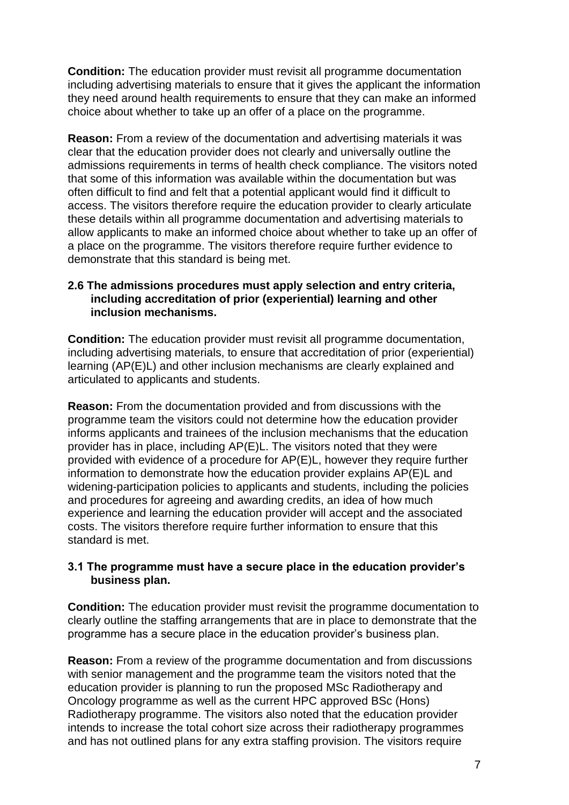**Condition:** The education provider must revisit all programme documentation including advertising materials to ensure that it gives the applicant the information they need around health requirements to ensure that they can make an informed choice about whether to take up an offer of a place on the programme.

**Reason:** From a review of the documentation and advertising materials it was clear that the education provider does not clearly and universally outline the admissions requirements in terms of health check compliance. The visitors noted that some of this information was available within the documentation but was often difficult to find and felt that a potential applicant would find it difficult to access. The visitors therefore require the education provider to clearly articulate these details within all programme documentation and advertising materials to allow applicants to make an informed choice about whether to take up an offer of a place on the programme. The visitors therefore require further evidence to demonstrate that this standard is being met.

#### **2.6 The admissions procedures must apply selection and entry criteria, including accreditation of prior (experiential) learning and other inclusion mechanisms.**

**Condition:** The education provider must revisit all programme documentation, including advertising materials, to ensure that accreditation of prior (experiential) learning (AP(E)L) and other inclusion mechanisms are clearly explained and articulated to applicants and students.

**Reason:** From the documentation provided and from discussions with the programme team the visitors could not determine how the education provider informs applicants and trainees of the inclusion mechanisms that the education provider has in place, including AP(E)L. The visitors noted that they were provided with evidence of a procedure for AP(E)L, however they require further information to demonstrate how the education provider explains AP(E)L and widening-participation policies to applicants and students, including the policies and procedures for agreeing and awarding credits, an idea of how much experience and learning the education provider will accept and the associated costs. The visitors therefore require further information to ensure that this standard is met.

#### **3.1 The programme must have a secure place in the education provider's business plan.**

**Condition:** The education provider must revisit the programme documentation to clearly outline the staffing arrangements that are in place to demonstrate that the programme has a secure place in the education provider's business plan.

**Reason:** From a review of the programme documentation and from discussions with senior management and the programme team the visitors noted that the education provider is planning to run the proposed MSc Radiotherapy and Oncology programme as well as the current HPC approved BSc (Hons) Radiotherapy programme. The visitors also noted that the education provider intends to increase the total cohort size across their radiotherapy programmes and has not outlined plans for any extra staffing provision. The visitors require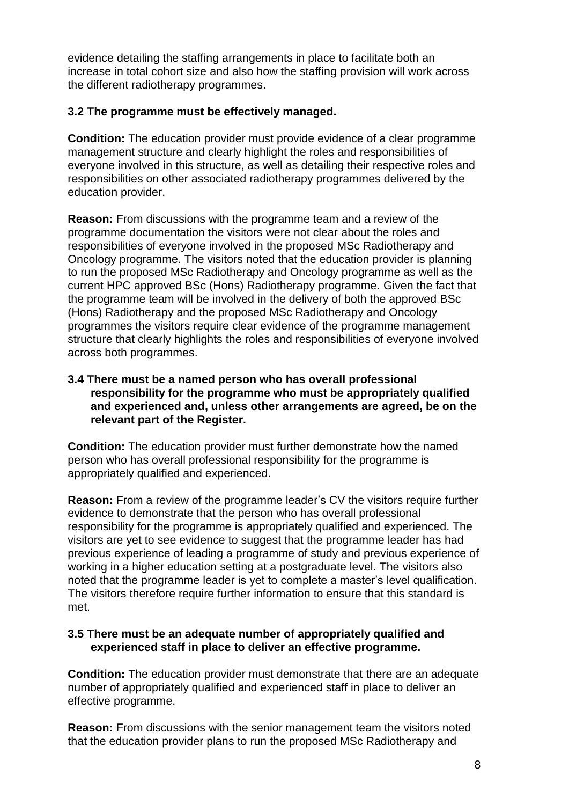evidence detailing the staffing arrangements in place to facilitate both an increase in total cohort size and also how the staffing provision will work across the different radiotherapy programmes.

#### **3.2 The programme must be effectively managed.**

**Condition:** The education provider must provide evidence of a clear programme management structure and clearly highlight the roles and responsibilities of everyone involved in this structure, as well as detailing their respective roles and responsibilities on other associated radiotherapy programmes delivered by the education provider.

**Reason:** From discussions with the programme team and a review of the programme documentation the visitors were not clear about the roles and responsibilities of everyone involved in the proposed MSc Radiotherapy and Oncology programme. The visitors noted that the education provider is planning to run the proposed MSc Radiotherapy and Oncology programme as well as the current HPC approved BSc (Hons) Radiotherapy programme. Given the fact that the programme team will be involved in the delivery of both the approved BSc (Hons) Radiotherapy and the proposed MSc Radiotherapy and Oncology programmes the visitors require clear evidence of the programme management structure that clearly highlights the roles and responsibilities of everyone involved across both programmes.

#### **3.4 There must be a named person who has overall professional responsibility for the programme who must be appropriately qualified and experienced and, unless other arrangements are agreed, be on the relevant part of the Register.**

**Condition:** The education provider must further demonstrate how the named person who has overall professional responsibility for the programme is appropriately qualified and experienced.

**Reason:** From a review of the programme leader's CV the visitors require further evidence to demonstrate that the person who has overall professional responsibility for the programme is appropriately qualified and experienced. The visitors are yet to see evidence to suggest that the programme leader has had previous experience of leading a programme of study and previous experience of working in a higher education setting at a postgraduate level. The visitors also noted that the programme leader is yet to complete a master's level qualification. The visitors therefore require further information to ensure that this standard is met.

#### **3.5 There must be an adequate number of appropriately qualified and experienced staff in place to deliver an effective programme.**

**Condition:** The education provider must demonstrate that there are an adequate number of appropriately qualified and experienced staff in place to deliver an effective programme.

**Reason:** From discussions with the senior management team the visitors noted that the education provider plans to run the proposed MSc Radiotherapy and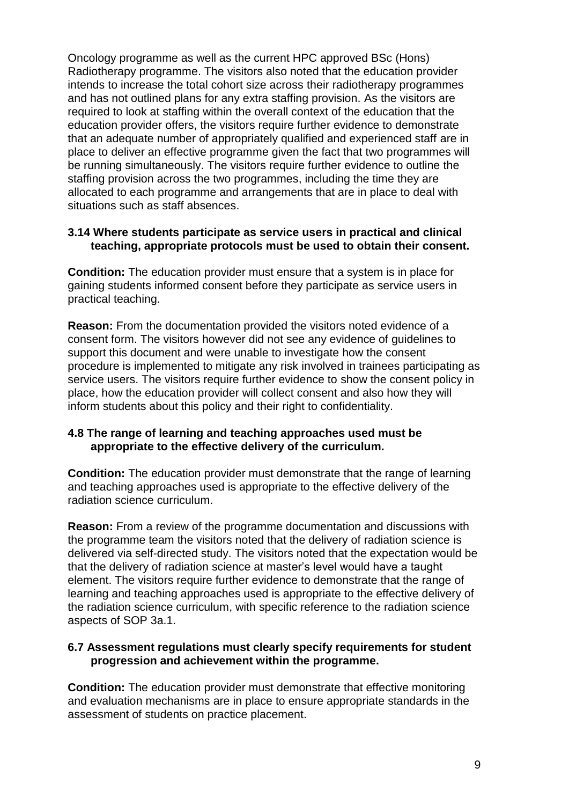Oncology programme as well as the current HPC approved BSc (Hons) Radiotherapy programme. The visitors also noted that the education provider intends to increase the total cohort size across their radiotherapy programmes and has not outlined plans for any extra staffing provision. As the visitors are required to look at staffing within the overall context of the education that the education provider offers, the visitors require further evidence to demonstrate that an adequate number of appropriately qualified and experienced staff are in place to deliver an effective programme given the fact that two programmes will be running simultaneously. The visitors require further evidence to outline the staffing provision across the two programmes, including the time they are allocated to each programme and arrangements that are in place to deal with situations such as staff absences.

#### **3.14 Where students participate as service users in practical and clinical teaching, appropriate protocols must be used to obtain their consent.**

**Condition:** The education provider must ensure that a system is in place for gaining students informed consent before they participate as service users in practical teaching.

**Reason:** From the documentation provided the visitors noted evidence of a consent form. The visitors however did not see any evidence of guidelines to support this document and were unable to investigate how the consent procedure is implemented to mitigate any risk involved in trainees participating as service users. The visitors require further evidence to show the consent policy in place, how the education provider will collect consent and also how they will inform students about this policy and their right to confidentiality.

#### **4.8 The range of learning and teaching approaches used must be appropriate to the effective delivery of the curriculum.**

**Condition:** The education provider must demonstrate that the range of learning and teaching approaches used is appropriate to the effective delivery of the radiation science curriculum.

**Reason:** From a review of the programme documentation and discussions with the programme team the visitors noted that the delivery of radiation science is delivered via self-directed study. The visitors noted that the expectation would be that the delivery of radiation science at master's level would have a taught element. The visitors require further evidence to demonstrate that the range of learning and teaching approaches used is appropriate to the effective delivery of the radiation science curriculum, with specific reference to the radiation science aspects of SOP 3a.1.

#### **6.7 Assessment regulations must clearly specify requirements for student progression and achievement within the programme.**

**Condition:** The education provider must demonstrate that effective monitoring and evaluation mechanisms are in place to ensure appropriate standards in the assessment of students on practice placement.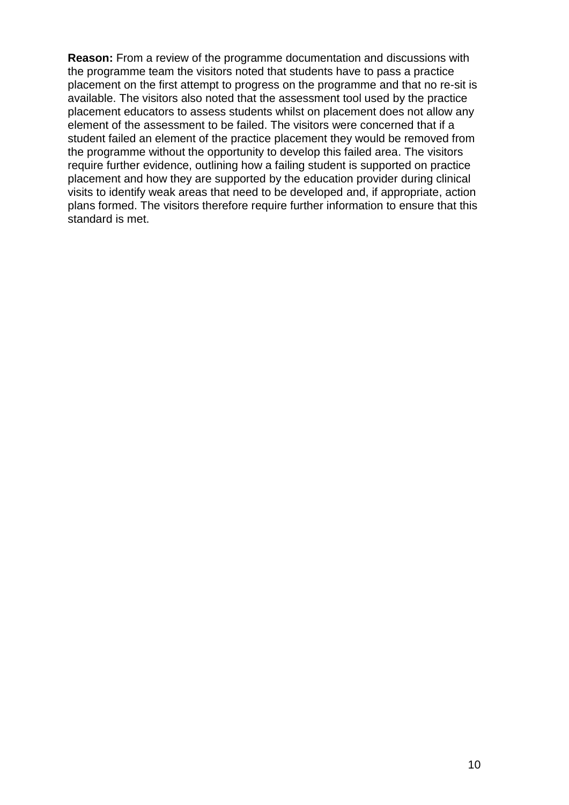**Reason:** From a review of the programme documentation and discussions with the programme team the visitors noted that students have to pass a practice placement on the first attempt to progress on the programme and that no re-sit is available. The visitors also noted that the assessment tool used by the practice placement educators to assess students whilst on placement does not allow any element of the assessment to be failed. The visitors were concerned that if a student failed an element of the practice placement they would be removed from the programme without the opportunity to develop this failed area. The visitors require further evidence, outlining how a failing student is supported on practice placement and how they are supported by the education provider during clinical visits to identify weak areas that need to be developed and, if appropriate, action plans formed. The visitors therefore require further information to ensure that this standard is met.